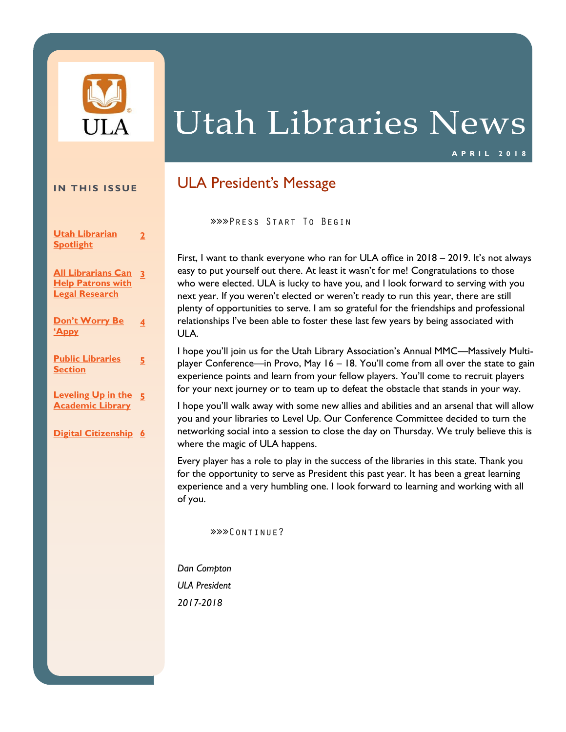

# **Utah Libraries News**

### **A P R I L 2 0 1 8**

### **IN THIS ISSUE**

**[Utah Librarian](#page-1-0)  [Spotlight](#page-1-0) [2](#page-1-0)**

**[All Librarians Can](#page-2-0)  [3](#page-2-0) Help Patrons with [Legal Research](#page-2-0)**

**Don't Worry Be ['Appy](#page-3-0) [4](#page-3-0)**

**[Public Libraries](#page-4-0)  [Section](#page-4-0)**

**[5](#page-4-0)**

**[Leveling Up in the](#page-4-0)  [5](#page-4-0) [Academic Library](#page-4-0)**

**[Digital Citizenship](#page-5-0) [6](#page-5-0)**

### ULA President's Message

»»»PRESS START TO BEGIN

First, I want to thank everyone who ran for ULA office in 2018 – 2019. It's not always easy to put yourself out there. At least it wasn't for me! Congratulations to those who were elected. ULA is lucky to have you, and I look forward to serving with you next year. If you weren't elected or weren't ready to run this year, there are still plenty of opportunities to serve. I am so grateful for the friendships and professional relationships I've been able to foster these last few years by being associated with ULA.

I hope you'll join us for the Utah Library Association's Annual MMC—Massively Multiplayer Conference—in Provo, May 16 – 18. You'll come from all over the state to gain experience points and learn from your fellow players. You'll come to recruit players for your next journey or to team up to defeat the obstacle that stands in your way.

I hope you'll walk away with some new allies and abilities and an arsenal that will allow you and your libraries to Level Up. Our Conference Committee decided to turn the networking social into a session to close the day on Thursday. We truly believe this is where the magic of ULA happens.

Every player has a role to play in the success of the libraries in this state. Thank you for the opportunity to serve as President this past year. It has been a great learning experience and a very humbling one. I look forward to learning and working with all of you.

»»»CONTINUE?

*Dan Compton ULA President 2017-2018*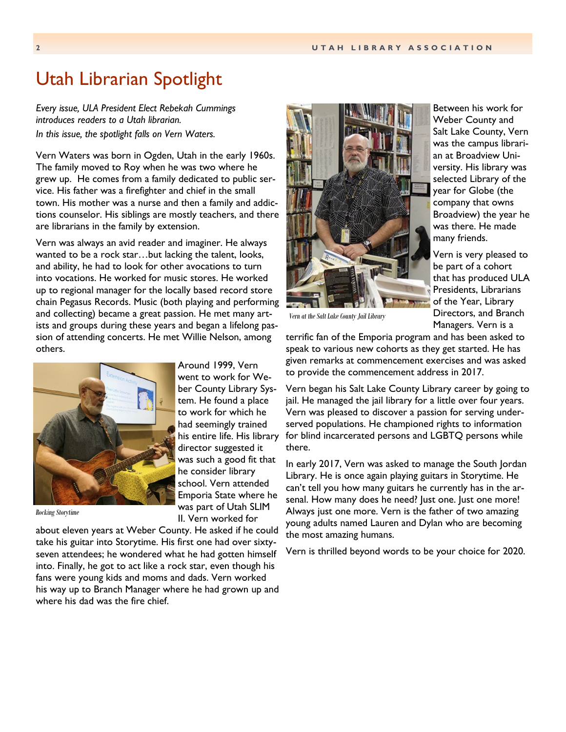### <span id="page-1-0"></span>Utah Librarian Spotlight

*Every issue, ULA President Elect Rebekah Cummings introduces readers to a Utah librarian. In this issue, the spotlight falls on Vern Waters.*

Vern Waters was born in Ogden, Utah in the early 1960s. The family moved to Roy when he was two where he grew up. He comes from a family dedicated to public service. His father was a firefighter and chief in the small town. His mother was a nurse and then a family and addictions counselor. His siblings are mostly teachers, and there are librarians in the family by extension.

Vern was always an avid reader and imaginer. He always wanted to be a rock star…but lacking the talent, looks, and ability, he had to look for other avocations to turn into vocations. He worked for music stores. He worked up to regional manager for the locally based record store chain Pegasus Records. Music (both playing and performing and collecting) became a great passion. He met many artists and groups during these years and began a lifelong passion of attending concerts. He met Willie Nelson, among others.

> Around 1999, Vern went to work for Weber County Library System. He found a place to work for which he had seemingly trained his entire life. His library director suggested it was such a good fit that he consider library school. Vern attended Emporia State where he



*Rocking Storytime*

was part of Utah SLIM II. Vern worked for about eleven years at Weber County. He asked if he could take his guitar into Storytime. His first one had over sixtyseven attendees; he wondered what he had gotten himself into. Finally, he got to act like a rock star, even though his fans were young kids and moms and dads. Vern worked his way up to Branch Manager where he had grown up and where his dad was the fire chief.



Between his work for Weber County and Salt Lake County, Vern was the campus librarian at Broadview University. His library was selected Library of the year for Globe (the company that owns Broadview) the year he was there. He made many friends.

Vern is very pleased to be part of a cohort that has produced ULA Presidents, Librarians of the Year, Library Directors, and Branch Managers. Vern is a

*Vern at the Salt Lake County Jail Library*

terrific fan of the Emporia program and has been asked to speak to various new cohorts as they get started. He has given remarks at commencement exercises and was asked to provide the commencement address in 2017.

Vern began his Salt Lake County Library career by going to jail. He managed the jail library for a little over four years. Vern was pleased to discover a passion for serving underserved populations. He championed rights to information for blind incarcerated persons and LGBTQ persons while there.

In early 2017, Vern was asked to manage the South Jordan Library. He is once again playing guitars in Storytime. He can't tell you how many guitars he currently has in the arsenal. How many does he need? Just one. Just one more! Always just one more. Vern is the father of two amazing young adults named Lauren and Dylan who are becoming the most amazing humans.

Vern is thrilled beyond words to be your choice for 2020.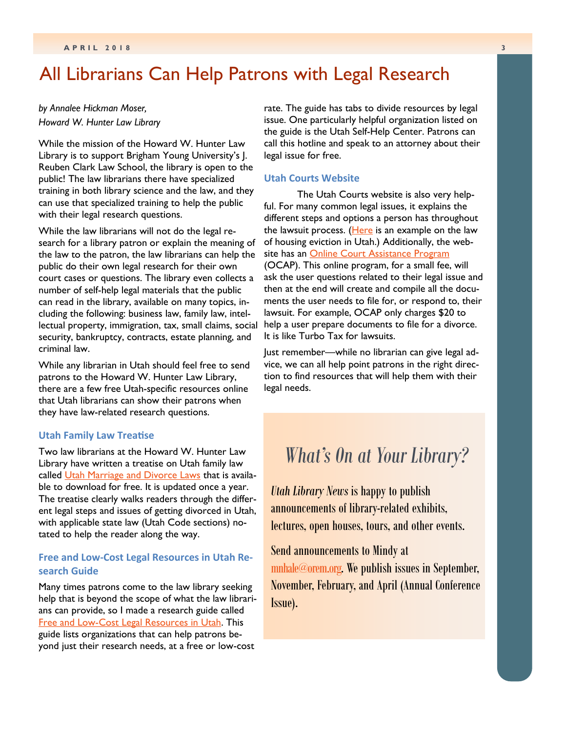### <span id="page-2-0"></span>All Librarians Can Help Patrons with Legal Research

*by Annalee Hickman Moser, Howard W. Hunter Law Library*

While the mission of the Howard W. Hunter Law Library is to support Brigham Young University's J. Reuben Clark Law School, the library is open to the public! The law librarians there have specialized training in both library science and the law, and they can use that specialized training to help the public with their legal research questions.

While the law librarians will not do the legal research for a library patron or explain the meaning of the law to the patron, the law librarians can help the public do their own legal research for their own court cases or questions. The library even collects a number of self-help legal materials that the public can read in the library, available on many topics, including the following: business law, family law, intellectual property, immigration, tax, small claims, social security, bankruptcy, contracts, estate planning, and criminal law.

While any librarian in Utah should feel free to send patrons to the Howard W. Hunter Law Library, there are a few free Utah-specific resources online that Utah librarians can show their patrons when they have law-related research questions.

### **Utah Family Law Treatise**

Two law librarians at the Howard W. Hunter Law Library have written a treatise on Utah family law called [Utah Marriage and Divorce Laws](https://digitalcommons.law.byu.edu/miscellanea/1/) that is available to download for free. It is updated once a year. The treatise clearly walks readers through the different legal steps and issues of getting divorced in Utah, with applicable state law (Utah Code sections) notated to help the reader along the way.

### **Free and Low-Cost Legal Resources in Utah Research Guide**

Many times patrons come to the law library seeking help that is beyond the scope of what the law librarians can provide, so I made a research guide called [Free and Low-Cost Legal Resources in Utah.](http://lawlibguides.byu.edu/legal-resources) This guide lists organizations that can help patrons beyond just their research needs, at a free or low-cost

rate. The guide has tabs to divide resources by legal issue. One particularly helpful organization listed on the guide is the Utah Self-Help Center. Patrons can call this hotline and speak to an attorney about their legal issue for free.

#### **Utah Courts Website**

The Utah Courts website is also very helpful. For many common legal issues, it explains the different steps and options a person has throughout the lawsuit process. ([Here](https://www.utcourts.gov/howto/landlord/eviction.html) is an example on the law of housing eviction in Utah.) Additionally, the web-site has an [Online Court Assistance Program](https://www.utcourts.gov/ocap/) (OCAP). This online program, for a small fee, will ask the user questions related to their legal issue and then at the end will create and compile all the documents the user needs to file for, or respond to, their lawsuit. For example, OCAP only charges \$20 to help a user prepare documents to file for a divorce. It is like Turbo Tax for lawsuits.

Just remember—while no librarian can give legal advice, we can all help point patrons in the right direction to find resources that will help them with their legal needs.

### *What's On at Your Library?*

*Utah Library News* is happy to publish announcements of library-related exhibits, lectures, open houses, tours, and other events.

Send announcements to Mindy at [mnhale@orem.org.](mailto:mnhale@orem.org) We publish issues in September, November, February, and April (Annual Conference Issue).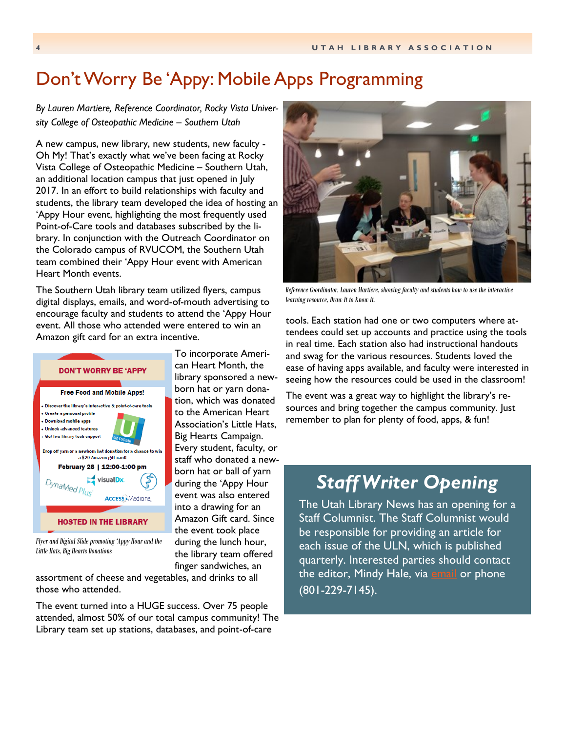# <span id="page-3-0"></span>Don't Worry Be 'Appy: Mobile Apps Programming

*By Lauren Martiere, Reference Coordinator, Rocky Vista University College of Osteopathic Medicine – Southern Utah*

A new campus, new library, new students, new faculty - Oh My! That's exactly what we've been facing at Rocky Vista College of Osteopathic Medicine – Southern Utah, an additional location campus that just opened in July 2017. In an effort to build relationships with faculty and students, the library team developed the idea of hosting an 'Appy Hour event, highlighting the most frequently used Point-of-Care tools and databases subscribed by the library. In conjunction with the Outreach Coordinator on the Colorado campus of RVUCOM, the Southern Utah team combined their 'Appy Hour event with American Heart Month events.

The Southern Utah library team utilized flyers, campus digital displays, emails, and word-of-mouth advertising to encourage faculty and students to attend the 'Appy Hour event. All those who attended were entered to win an Amazon gift card for an extra incentive.



*Flyer and Digital Slide promoting 'Appy Hour and the Little Hats, Big Hearts Donations*

assortment of cheese and vegetables, and drinks to all those who attended.

The event turned into a HUGE success. Over 75 people attended, almost 50% of our total campus community! The Library team set up stations, databases, and point-of-care

the library team offered finger sandwiches, an



*Reference Coordinator, Lauren Martiere, showing faculty and students how to use the interactive learning resource, Draw It to Know It.*

tools. Each station had one or two computers where attendees could set up accounts and practice using the tools in real time. Each station also had instructional handouts and swag for the various resources. Students loved the ease of having apps available, and faculty were interested in seeing how the resources could be used in the classroom!

The event was a great way to highlight the library's resources and bring together the campus community. Just remember to plan for plenty of food, apps, & fun!

# *Staff Writer Opening*

The Utah Library News has an opening for a **Staff Columnist. The Staff Columnist would** be responsible for providing an article for each issue of the ULN, which is published quarterly. Interested parties should contact the editor, Mindy Hale, via <u>[email](mailto:mnhale@orem.org)</u> or phone (801-229-7145).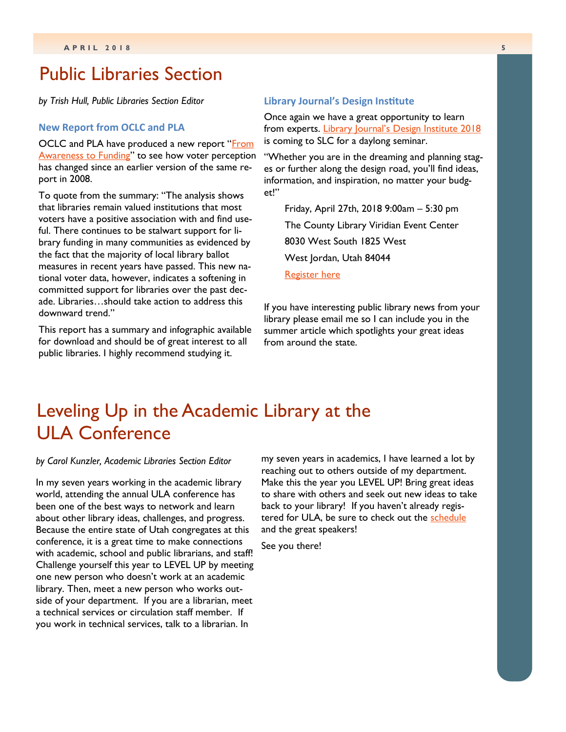### <span id="page-4-0"></span>Public Libraries Section

*by Trish Hull, Public Libraries Section Editor*

### **New Report from OCLC and PLA**

OCLC and PLA have produced a new report "From [Awareness to Funding](https://www.oclc.org/research/awareness-to-funding-2018.html)" to see how voter perception has changed since an earlier version of the same report in 2008.

To quote from the summary: "The analysis shows that libraries remain valued institutions that most voters have a positive association with and find useful. There continues to be stalwart support for library funding in many communities as evidenced by the fact that the majority of local library ballot measures in recent years have passed. This new national voter data, however, indicates a softening in committed support for libraries over the past decade. Libraries…should take action to address this downward trend."

This report has a summary and infographic available for download and should be of great interest to all public libraries. I highly recommend studying it.

#### **Library Journal's Design Institute**

Once again we have a great opportunity to learn from experts. [Library Journal's Design Institute 2018](https://lj.libraryjournal.com/designinstitute/#_) is coming to SLC for a daylong seminar.

"Whether you are in the dreaming and planning stages or further along the design road, you'll find ideas, information, and inspiration, no matter your budget!"

Friday, April 27th, 2018 9:00am – 5:30 pm The County Library Viridian Event Center 8030 West South 1825 West West Jordan, Utah 84044 [Register here](https://lj.libraryjournal.com/designinstitute/#_)

If you have interesting public library news from your library please email me so I can include you in the summer article which spotlights your great ideas from around the state.

# Leveling Up in the Academic Library at the ULA Conference

#### *by Carol Kunzler, Academic Libraries Section Editor*

In my seven years working in the academic library world, attending the annual ULA conference has been one of the best ways to network and learn about other library ideas, challenges, and progress. Because the entire state of Utah congregates at this conference, it is a great time to make connections with academic, school and public librarians, and staff! Challenge yourself this year to LEVEL UP by meeting one new person who doesn't work at an academic library. Then, meet a new person who works outside of your department. If you are a librarian, meet a technical services or circulation staff member. If you work in technical services, talk to a librarian. In

my seven years in academics, I have learned a lot by reaching out to others outside of my department. Make this the year you LEVEL UP! Bring great ideas to share with others and seek out new ideas to take back to your library! If you haven't already registered for ULA, be sure to check out the [schedule](https://utahlibraryassociation2018confer.sched.com/) and the great speakers!

See you there!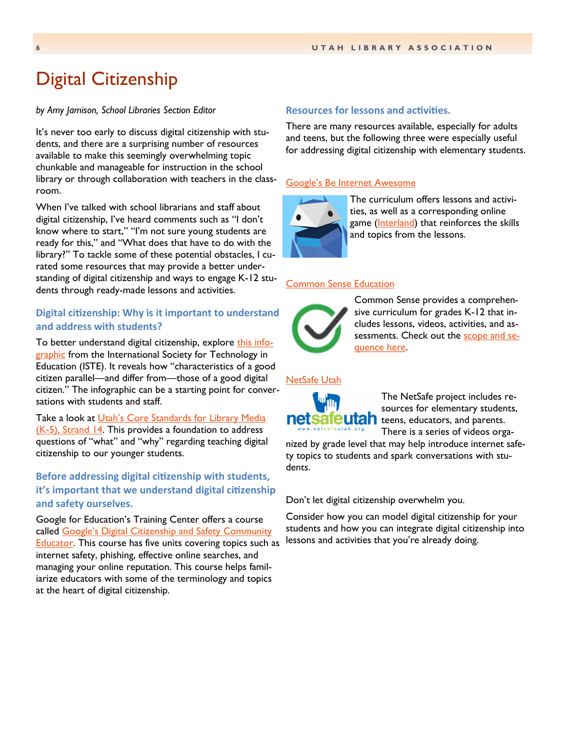# <span id="page-5-0"></span>Digital Citizenship

#### *by Amy Jamison, School Libraries Section Editor*

It's never too early to discuss digital citizenship with students, and there are a surprising number of resources available to make this seemingly overwhelming topic chunkable and manageable for instruction in the school library or through collaboration with teachers in the classroom.

When I've talked with school librarians and staff about digital citizenship, I've heard comments such as "I don't know where to start," "I'm not sure young students are ready for this," and "What does that have to do with the library?" To tackle some of these potential obstacles, I curated some resources that may provide a better understanding of digital citizenship and ways to engage K-12 students through ready-made lessons and activities.

### **Digital citizenship: Why is it important to understand and address with students?**

To better understand digital citizenship, explore [this info](https://www.iste.org/explore/articleDetail?articleid=192)[graphic](https://www.iste.org/explore/articleDetail?articleid=192) from the International Society for Technology in Education (ISTE). It reveals how "characteristics of a good citizen parallel—and differ from—those of a good digital citizen." The infographic can be a starting point for conversations with students and staff.

Take a look at Utah's Core Standards for Library Media  $(K-5)$ , Strand 14. This provides a foundation to address questions of "what" and "why" regarding teaching digital citizenship to our younger students.

### **Before addressing digital citizenship with students, it's important that we understand digital citizenship and safety ourselves.**

Google for Education's Training Center offers a course called [Google's Digital Citizenship and Safety Community](https://edutrainingcenter.withgoogle.com/digital_citizenship/preview)  **Educator.** This course has five units covering topics such as internet safety, phishing, effective online searches, and managing your online reputation. This course helps familiarize educators with some of the terminology and topics at the heart of digital citizenship.

#### **Resources for lessons and activities.**

There are many resources available, especially for adults and teens, but the following three were especially useful for addressing digital citizenship with elementary students.

### [Google's Be Internet Awesome](https://beinternetawesome.withgoogle.com/en)



The curriculum offers lessons and activities, as well as a corresponding online game ([Interland\)](https://beinternetawesome.withgoogle.com/en/interland) that reinforces the skills and topics from the lessons.

#### [Common Sense Education](https://www.commonsense.org/education/digital-citizenship)



Common Sense provides a comprehensive curriculum for grades K-12 that includes lessons, videos, activities, and assessments. Check out the [scope and se](https://www.commonsense.org/education/scope-and-sequence)[quence here.](https://www.commonsense.org/education/scope-and-sequence)

#### [NetSafe Utah](http://www.netsafeutah.org/)



The NetSafe project includes resources for elementary students, teens, educators, and parents. There is a series of videos orga-

nized by grade level that may help introduce internet safety topics to students and spark conversations with students.

Don't let digital citizenship overwhelm you.

Consider how you can model digital citizenship for your students and how you can integrate digital citizenship into lessons and activities that you're already doing.